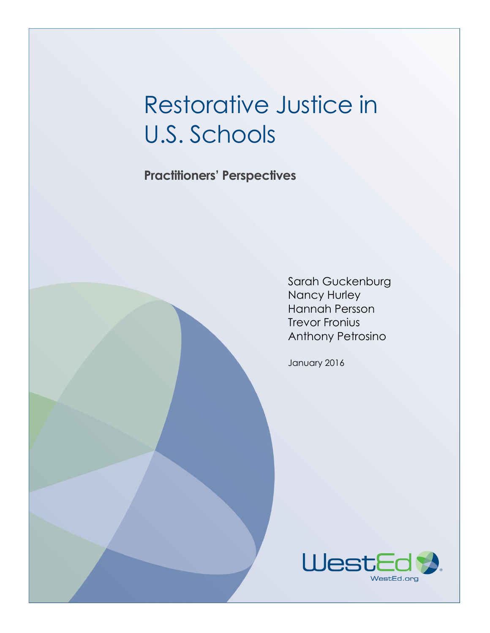# Restorative Justice in U.S. Schools

**Practitioners' Perspectives**

Sarah Guckenburg Nancy Hurley Hannah Persson Trevor Fronius Anthony Petrosino

January 2016

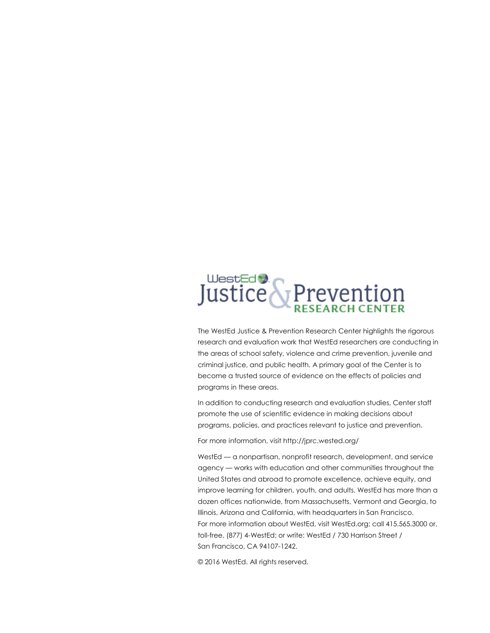# UlestEd & Prevention

The WestEd Justice & Prevention Research Center highlights the rigorous research and evaluation work that WestEd researchers are conducting in the areas of school safety, violence and crime prevention, juvenile and criminal justice, and public health. A primary goal of the Center is to become a trusted source of evidence on the effects of policies and programs in these areas.

In addition to conducting research and evaluation studies, Center staff promote the use of scientific evidence in making decisions about programs, policies, and practices relevant to justice and prevention.

For more information, visit http://jprc.wested.org/

WestEd — a nonpartisan, nonprofit research, development, and service agency — works with education and other communities throughout the United States and abroad to promote excellence, achieve equity, and improve learning for children, youth, and adults. WestEd has more than a dozen offices nationwide, from Massachusetts, Vermont and Georgia, to Illinois, Arizona and California, with headquarters in San Francisco. For more information about WestEd, visit WestEd.org; call 415.565.3000 or, toll-free, (877) 4-WestEd; or write: WestEd / 730 Harrison Street / San Francisco, CA 94107-1242.

© 2016 WestEd. All rights reserved.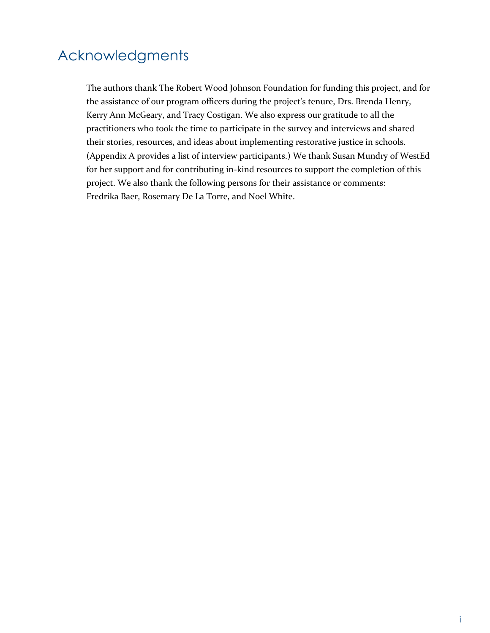## Acknowledgments

The authors thank The Robert Wood Johnson Foundation for funding this project, and for the assistance of our program officers during the project's tenure, Drs. Brenda Henry, Kerry Ann McGeary, and Tracy Costigan. We also express our gratitude to all the practitioners who took the time to participate in the survey and interviews and shared their stories, resources, and ideas about implementing restorative justice in schools. (Appendix A provides a list of interview participants.) We thank Susan Mundry of WestEd for her support and for contributing in-kind resources to support the completion of this project. We also thank the following persons for their assistance or comments: Fredrika Baer, Rosemary De La Torre, and Noel White.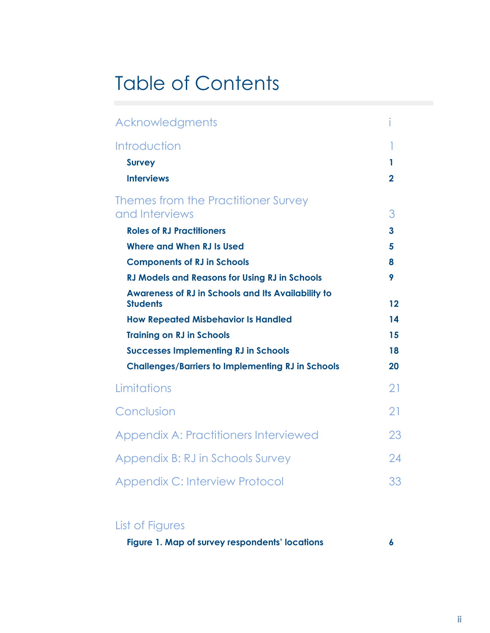## Table of Contents

| Acknowledgments                                                              |                |
|------------------------------------------------------------------------------|----------------|
| Introduction                                                                 |                |
| <b>Survey</b>                                                                | 1              |
| <b>Interviews</b>                                                            | $\overline{2}$ |
| Themes from the Practitioner Survey                                          |                |
| and Interviews                                                               | 3              |
| <b>Roles of RJ Practitioners</b>                                             | 3              |
| Where and When RJ Is Used                                                    | 5              |
| <b>Components of RJ in Schools</b>                                           | 8              |
| <b>RJ Models and Reasons for Using RJ in Schools</b>                         | 9              |
| <b>Awareness of RJ in Schools and Its Availability to</b><br><b>Students</b> | 12             |
| <b>How Repeated Misbehavior Is Handled</b>                                   | 14             |
| <b>Training on RJ in Schools</b>                                             | 15             |
| <b>Successes Implementing RJ in Schools</b>                                  | 18             |
| <b>Challenges/Barriers to Implementing RJ in Schools</b>                     | 20             |
| Limitations                                                                  | 21             |
| Conclusion                                                                   | 21             |
| <b>Appendix A: Practitioners Interviewed</b>                                 | 23             |
| Appendix B: RJ in Schools Survey                                             | 24             |
| <b>Appendix C: Interview Protocol</b>                                        | 33             |

## List of Figures

|  |  |  | Figure 1. Map of survey respondents' locations |  |  |
|--|--|--|------------------------------------------------|--|--|
|--|--|--|------------------------------------------------|--|--|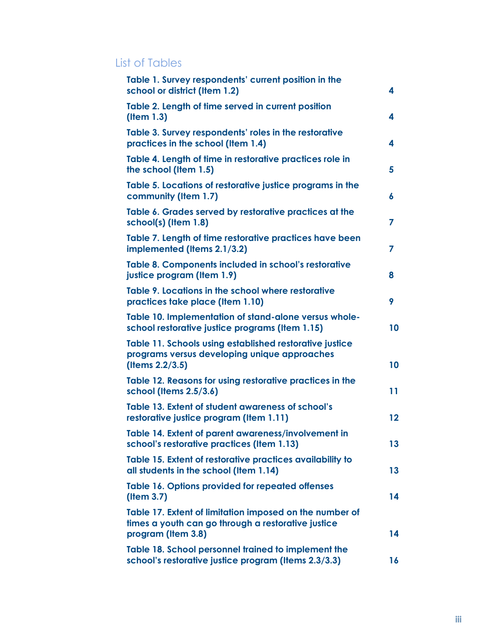## List of Tables

| Table 1. Survey respondents' current position in the<br>school or district (Item 1.2)                                               | 4  |
|-------------------------------------------------------------------------------------------------------------------------------------|----|
| Table 2. Length of time served in current position<br>(Item 1.3)                                                                    | 4  |
| Table 3. Survey respondents' roles in the restorative<br>practices in the school (Item 1.4)                                         | 4  |
| Table 4. Length of time in restorative practices role in<br>the school (Item 1.5)                                                   | 5  |
| Table 5. Locations of restorative justice programs in the<br>community (Item 1.7)                                                   | 6  |
| Table 6. Grades served by restorative practices at the<br>school(s) (Item 1.8)                                                      | 7  |
| Table 7. Length of time restorative practices have been<br>implemented (Items 2.1/3.2)                                              | 7  |
| Table 8. Components included in school's restorative<br>justice program (Item 1.9)                                                  | 8  |
| Table 9. Locations in the school where restorative<br>practices take place (Item 1.10)                                              | 9  |
| Table 10. Implementation of stand-alone versus whole-<br>school restorative justice programs (Item 1.15)                            | 10 |
| Table 11. Schools using established restorative justice<br>programs versus developing unique approaches<br>(Items 2.2/3.5)          | 10 |
| Table 12. Reasons for using restorative practices in the<br>school (Items 2.5/3.6)                                                  | 11 |
| Table 13. Extent of student awareness of school's<br>restorative justice program (Item 1.11)                                        | 12 |
| Table 14. Extent of parent awareness/involvement in<br>school's restorative practices (Item 1.13)                                   | 13 |
| Table 15. Extent of restorative practices availability to<br>all students in the school (Item 1.14)                                 | 13 |
| Table 16. Options provided for repeated offenses<br>$($ ltem $3.7)$                                                                 | 14 |
| Table 17. Extent of limitation imposed on the number of<br>times a youth can go through a restorative justice<br>program (Item 3.8) | 14 |
| Table 18. School personnel trained to implement the<br>school's restorative justice program (Items 2.3/3.3)                         | 16 |
|                                                                                                                                     |    |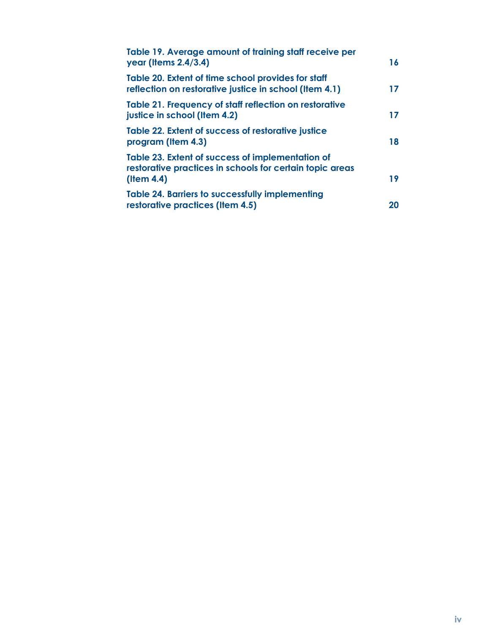| Table 19. Average amount of training staff receive per<br>year (Items 2.4/3.4)                                                   | 16 |
|----------------------------------------------------------------------------------------------------------------------------------|----|
| Table 20. Extent of time school provides for staff<br>reflection on restorative justice in school (Item 4.1)                     | 17 |
| Table 21. Frequency of staff reflection on restorative<br>justice in school (Item 4.2)                                           | 17 |
| Table 22. Extent of success of restorative justice<br>program (Item 4.3)                                                         | 18 |
| Table 23. Extent of success of implementation of<br>restorative practices in schools for certain topic areas<br>$($ ltem 4.4 $)$ | 19 |
| <b>Table 24. Barriers to successfully implementing</b><br>restorative practices (Item 4.5)                                       | 20 |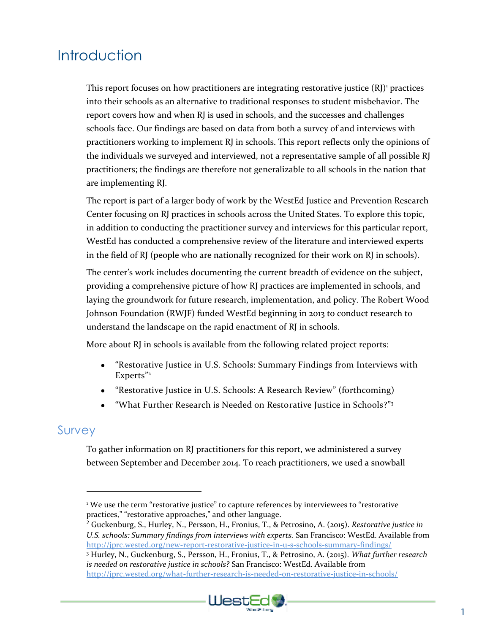## **Introduction**

This report focuses on how practitioners are integrating restorative justice  $(RJ)^1$  practices into their schools as an alternative to traditional responses to student misbehavior. The report covers how and when RJ is used in schools, and the successes and challenges schools face. Our findings are based on data from both a survey of and interviews with practitioners working to implement RJ in schools. This report reflects only the opinions of the individuals we surveyed and interviewed, not a representative sample of all possible RJ practitioners; the findings are therefore not generalizable to all schools in the nation that are implementing RJ.

The report is part of a larger body of work by the WestEd Justice and Prevention Research Center focusing on RJ practices in schools across the United States. To explore this topic, in addition to conducting the practitioner survey and interviews for this particular report, WestEd has conducted a comprehensive review of the literature and interviewed experts in the field of RJ (people who are nationally recognized for their work on RJ in schools).

The center's work includes documenting the current breadth of evidence on the subject, providing a comprehensive picture of how RJ practices are implemented in schools, and laying the groundwork for future research, implementation, and policy. The Robert Wood Johnson Foundation (RWJF) funded WestEd beginning in 2013 to conduct research to understand the landscape on the rapid enactment of RJ in schools.

More about RJ in schools is available from the following related project reports:

- "Restorative Justice in U.S. Schools: Summary Findings from Interviews with Experts" 2
- "Restorative Justice in U.S. Schools: A Research Review" (forthcoming)
- "What Further Research is Needed on Restorative Justice in Schools?"<sup>3</sup>

## Survey

 $\overline{a}$ 

To gather information on RJ practitioners for this report, we administered a survey between September and December 2014. To reach practitioners, we used a snowball

<sup>3</sup> Hurley, N., Guckenburg, S., Persson, H., Fronius, T., & Petrosino, A. (2015). *What further research is needed on restorative justice in schools?* San Francisco: WestEd. Available from <http://jprc.wested.org/what-further-research-is-needed-on-restorative-justice-in-schools/>



<sup>&</sup>lt;sup>1</sup> We use the term "restorative justice" to capture references by interviewees to "restorative practices," "restorative approaches," and other language.

<sup>2</sup> Guckenburg, S., Hurley, N., Persson, H., Fronius, T., & Petrosino, A. (2015). *Restorative justice in U.S. schools: Summary findings from interviews with experts.* San Francisco: WestEd. Available from <http://jprc.wested.org/new-report-restorative-justice-in-u-s-schools-summary-findings/>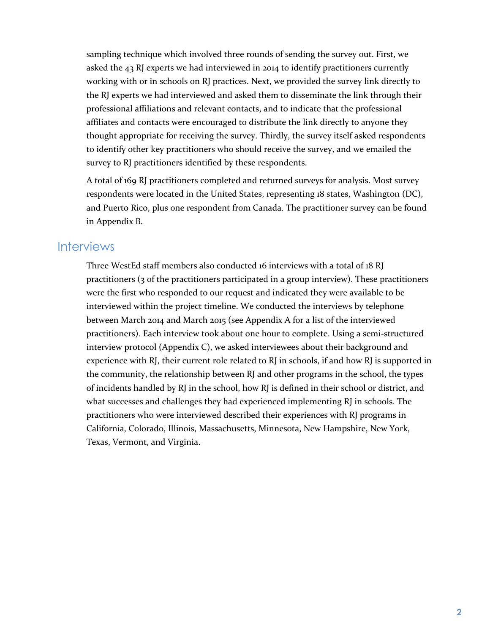sampling technique which involved three rounds of sending the survey out. First, we asked the 43 RJ experts we had interviewed in 2014 to identify practitioners currently working with or in schools on RJ practices. Next, we provided the survey link directly to the RJ experts we had interviewed and asked them to disseminate the link through their professional affiliations and relevant contacts, and to indicate that the professional affiliates and contacts were encouraged to distribute the link directly to anyone they thought appropriate for receiving the survey. Thirdly, the survey itself asked respondents to identify other key practitioners who should receive the survey, and we emailed the survey to RJ practitioners identified by these respondents.

A total of 169 RJ practitioners completed and returned surveys for analysis. Most survey respondents were located in the United States, representing 18 states, Washington (DC), and Puerto Rico, plus one respondent from Canada. The practitioner survey can be found in Appendix B.

#### **Interviews**

Three WestEd staff members also conducted 16 interviews with a total of 18 RJ practitioners (3 of the practitioners participated in a group interview). These practitioners were the first who responded to our request and indicated they were available to be interviewed within the project timeline. We conducted the interviews by telephone between March 2014 and March 2015 (see Appendix A for a list of the interviewed practitioners). Each interview took about one hour to complete. Using a semi-structured interview protocol (Appendix C), we asked interviewees about their background and experience with RJ, their current role related to RJ in schools, if and how RJ is supported in the community, the relationship between RJ and other programs in the school, the types of incidents handled by RJ in the school, how RJ is defined in their school or district, and what successes and challenges they had experienced implementing RJ in schools. The practitioners who were interviewed described their experiences with RJ programs in California, Colorado, Illinois, Massachusetts, Minnesota, New Hampshire, New York, Texas, Vermont, and Virginia.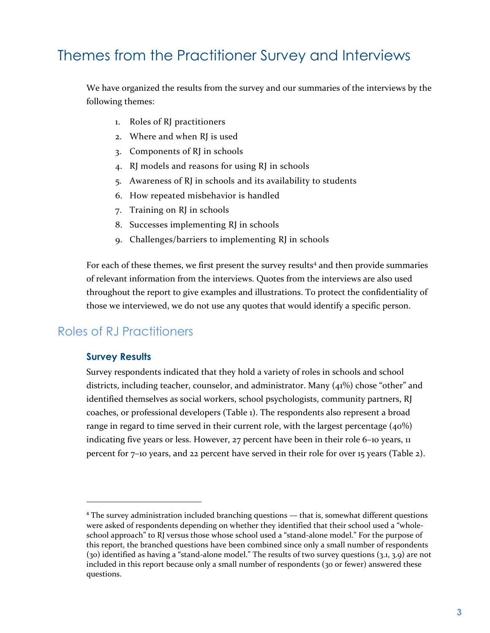## Themes from the Practitioner Survey and Interviews

We have organized the results from the survey and our summaries of the interviews by the following themes:

- 1. Roles of RJ practitioners
- 2. Where and when RJ is used
- 3. Components of RJ in schools
- 4. RJ models and reasons for using RJ in schools
- 5. Awareness of RJ in schools and its availability to students
- 6. How repeated misbehavior is handled
- 7. Training on RJ in schools
- 8. Successes implementing RJ in schools
- 9. Challenges/barriers to implementing RJ in schools

For each of these themes, we first present the survey results<sup>4</sup> and then provide summaries of relevant information from the interviews. Quotes from the interviews are also used throughout the report to give examples and illustrations. To protect the confidentiality of those we interviewed, we do not use any quotes that would identify a specific person.

## Roles of RJ Practitioners

#### **Survey Results**

 $\overline{a}$ 

Survey respondents indicated that they hold a variety of roles in schools and school districts, including teacher, counselor, and administrator. Many (41%) chose "other" and identified themselves as social workers, school psychologists, community partners, RJ coaches, or professional developers (Table 1). The respondents also represent a broad range in regard to time served in their current role, with the largest percentage  $(40\%)$ indicating five years or less. However, 27 percent have been in their role 6–10 years, 11 percent for 7–10 years, and 22 percent have served in their role for over 15 years (Table 2).

<sup>&</sup>lt;sup>4</sup> The survey administration included branching questions — that is, somewhat different questions were asked of respondents depending on whether they identified that their school used a "wholeschool approach" to RJ versus those whose school used a "stand-alone model." For the purpose of this report, the branched questions have been combined since only a small number of respondents (30) identified as having a "stand-alone model." The results of two survey questions (3.1, 3.9) are not included in this report because only a small number of respondents (30 or fewer) answered these questions.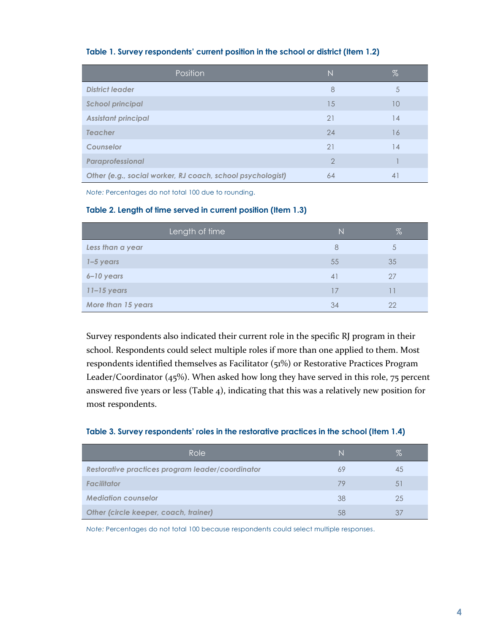| Position                                                   | $\mathbb N$    | $\%$    |
|------------------------------------------------------------|----------------|---------|
| <b>District leader</b>                                     | 8              | 5       |
| <b>School principal</b>                                    | 15             | 10      |
| <b>Assistant principal</b>                                 | 21             | 14      |
| <b>Teacher</b>                                             | 24             | 16      |
| Counselor                                                  | 21             | 14      |
| Paraprofessional                                           | $\overline{2}$ |         |
| Other (e.g., social worker, RJ coach, school psychologist) | 64             | $\vert$ |

#### **Table 1. Survey respondents' current position in the school or district (Item 1.2)**

*Note:* Percentages do not total 100 due to rounding.

#### **Table 2. Length of time served in current position (Item 1.3)**

| Length of time     | N  | $\%$         |
|--------------------|----|--------------|
| Less than a year   | 8  | <sup>5</sup> |
| $1 - 5$ years      | 55 | 35           |
| 6-10 years         | 41 | 27           |
| $11 - 15$ years    | 17 |              |
| More than 15 years | 34 | 22           |

Survey respondents also indicated their current role in the specific RJ program in their school. Respondents could select multiple roles if more than one applied to them. Most respondents identified themselves as Facilitator (51%) or Restorative Practices Program Leader/Coordinator (45%). When asked how long they have served in this role, 75 percent answered five years or less (Table 4), indicating that this was a relatively new position for most respondents.

#### **Table 3. Survey respondents' roles in the restorative practices in the school (Item 1.4)**

| Role                                             | N  | %  |
|--------------------------------------------------|----|----|
| Restorative practices program leader/coordinator | 69 | 45 |
| <b>Facilitator</b>                               | 79 | 51 |
| <b>Mediation counselor</b>                       | 38 | 25 |
| Other (circle keeper, coach, trainer)            | 58 | 37 |

*Note:* Percentages do not total 100 because respondents could select multiple responses.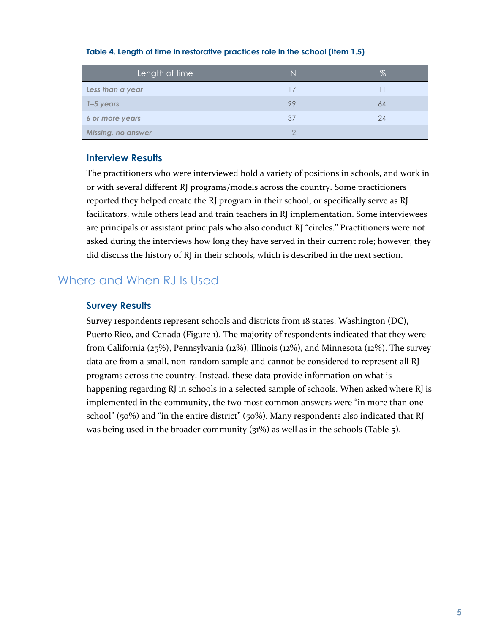| Length of time            | N  | ℅  |
|---------------------------|----|----|
| Less than a year          | 17 |    |
| $1 - 5$ years             | 99 | 64 |
| 6 or more years           | 37 | 24 |
| <b>Missing, no answer</b> | ◠  |    |

#### **Table 4. Length of time in restorative practices role in the school (Item 1.5)**

#### **Interview Results**

The practitioners who were interviewed hold a variety of positions in schools, and work in or with several different RJ programs/models across the country. Some practitioners reported they helped create the RJ program in their school, or specifically serve as RJ facilitators, while others lead and train teachers in RJ implementation. Some interviewees are principals or assistant principals who also conduct RJ "circles." Practitioners were not asked during the interviews how long they have served in their current role; however, they did discuss the history of RJ in their schools, which is described in the next section.

## Where and When RJ Is Used

#### **Survey Results**

Survey respondents represent schools and districts from 18 states, Washington (DC), Puerto Rico, and Canada (Figure 1). The majority of respondents indicated that they were from California (25%), Pennsylvania (12%), Illinois (12%), and Minnesota (12%). The survey data are from a small, non-random sample and cannot be considered to represent all RJ programs across the country. Instead, these data provide information on what is happening regarding RJ in schools in a selected sample of schools. When asked where RJ is implemented in the community, the two most common answers were "in more than one school" (50%) and "in the entire district" (50%). Many respondents also indicated that RJ was being used in the broader community (31%) as well as in the schools (Table 5).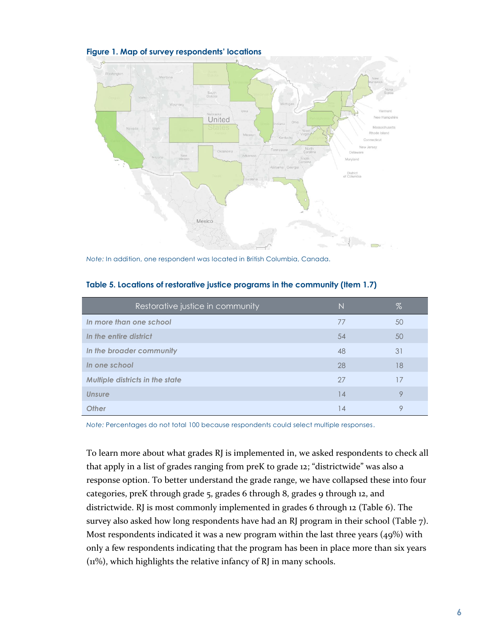

**Figure 1. Map of survey respondents' locations** 

*Note:* In addition, one respondent was located in British Columbia, Canada.

| Restorative justice in community       | N  | %       |
|----------------------------------------|----|---------|
| In more than one school                | 77 | 50      |
| In the entire district                 | 54 | 50      |
| In the broader community               | 48 | 31      |
| In one school                          | 28 | 18      |
| <b>Multiple districts in the state</b> | 27 | 17      |
| Unsure                                 | 14 | $\circ$ |
| <b>Other</b>                           | 14 | Q       |

**Table 5. Locations of restorative justice programs in the community (Item 1.7)** 

*Note:* Percentages do not total 100 because respondents could select multiple responses.

To learn more about what grades RJ is implemented in, we asked respondents to check all that apply in a list of grades ranging from preK to grade 12; "districtwide" was also a response option. To better understand the grade range, we have collapsed these into four categories, preK through grade 5, grades 6 through 8, grades 9 through 12, and districtwide. RJ is most commonly implemented in grades 6 through 12 (Table 6). The survey also asked how long respondents have had an RJ program in their school (Table 7). Most respondents indicated it was a new program within the last three years (49%) with only a few respondents indicating that the program has been in place more than six years (11%), which highlights the relative infancy of RJ in many schools.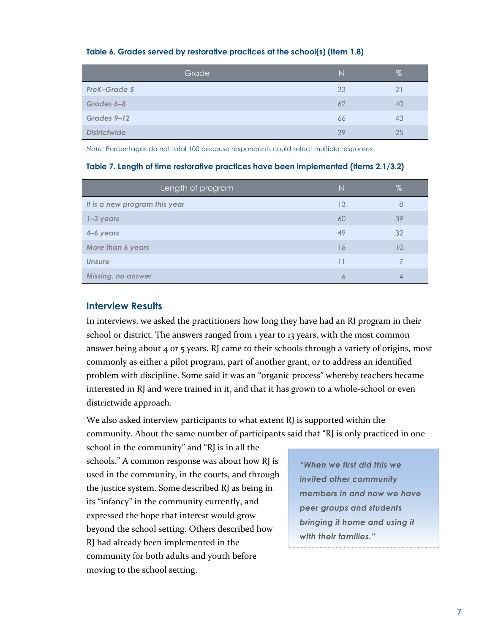|                     | Grade | N  | %  |
|---------------------|-------|----|----|
| PreK-Grade 5        |       | 33 | 21 |
| Grades 6-8          |       | 62 | 40 |
| Grades 9-12         |       | 66 | 43 |
| <b>Districtwide</b> |       | 39 | 25 |

#### **Table 6. Grades served by restorative practices at the school(s) (Item 1.8)**

*Note:* Percentages do not total 100 because respondents could select multiple responses.

#### **Table 7. Length of time restorative practices have been implemented (Items 2.1/3.2)**

| Length of program             | N  | $\%$ |
|-------------------------------|----|------|
| It is a new program this year | 13 | 8    |
| $1 - 3$ years                 | 60 | 39   |
| 4–6 years                     | 49 | 32   |
| More than 6 years             | 16 | 10   |
| <b>Unsure</b>                 | 11 |      |
| Missing, no answer            | 6  |      |

#### **Interview Results**

In interviews, we asked the practitioners how long they have had an RJ program in their school or district. The answers ranged from 1 year to 13 years, with the most common answer being about 4 or 5 years. RJ came to their schools through a variety of origins, most commonly as either a pilot program, part of another grant, or to address an identified problem with discipline. Some said it was an "organic process" whereby teachers became interested in RJ and were trained in it, and that it has grown to a whole-school or even districtwide approach.

We also asked interview participants to what extent RJ is supported within the community. About the same number of participants said that "RJ is only practiced in one

school in the community" and "RJ is in all the schools." A common response was about how RJ is used in the community, in the courts, and through the justice system. Some described RJ as being in its "infancy" in the community currently, and expressed the hope that interest would grow beyond the school setting. Others described how RJ had already been implemented in the community for both adults and youth before moving to the school setting.

*"When we first did this we invited other community members in and now we have peer groups and students bringing it home and using it with their families."*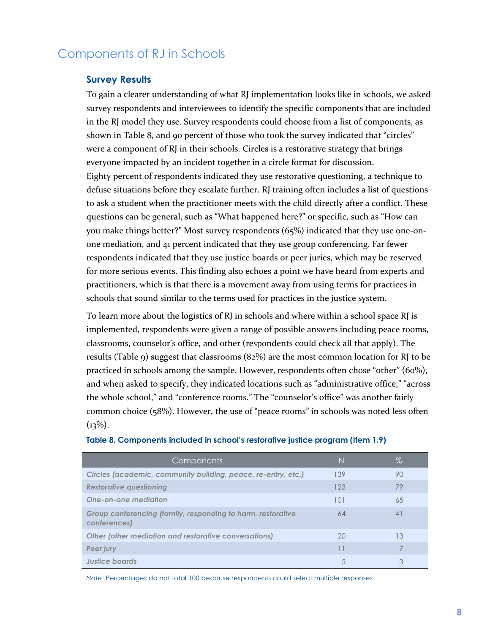## Components of RJ in Schools

#### **Survey Results**

To gain a clearer understanding of what RJ implementation looks like in schools, we asked survey respondents and interviewees to identify the specific components that are included in the RJ model they use. Survey respondents could choose from a list of components, as shown in Table 8, and 90 percent of those who took the survey indicated that "circles" were a component of RJ in their schools. Circles is a restorative strategy that brings everyone impacted by an incident together in a circle format for discussion. Eighty percent of respondents indicated they use restorative questioning, a technique to defuse situations before they escalate further. RJ training often includes a list of questions to ask a student when the practitioner meets with the child directly after a conflict. These questions can be general, such as "What happened here?" or specific, such as "How can you make things better?" Most survey respondents (65%) indicated that they use one-onone mediation, and 41 percent indicated that they use group conferencing. Far fewer respondents indicated that they use justice boards or peer juries, which may be reserved for more serious events. This finding also echoes a point we have heard from experts and practitioners, which is that there is a movement away from using terms for practices in schools that sound similar to the terms used for practices in the justice system.

To learn more about the logistics of RJ in schools and where within a school space RJ is implemented, respondents were given a range of possible answers including peace rooms, classrooms, counselor's office, and other (respondents could check all that apply). The results (Table 9) suggest that classrooms  $(82%)$  are the most common location for RJ to be practiced in schools among the sample. However, respondents often chose "other" (60%), and when asked to specify, they indicated locations such as "administrative office," "across the whole school," and "conference rooms." The "counselor's office" was another fairly common choice (58%). However, the use of "peace rooms" in schools was noted less often  $(13\%).$ 

| Components                                                                  | N   | $\%$ |
|-----------------------------------------------------------------------------|-----|------|
| Circles (academic, community building, peace, re-entry, etc.)               | 139 | 90   |
| <b>Restorative questioning</b>                                              | 123 | 79   |
| One-on-one mediation                                                        | 101 | 65   |
| Group conferencing (family, responding to harm, restorative<br>conferences) | 64  | 41   |
| Other (other mediation and restorative conversations)                       | 20  | 13   |
| Peer jury                                                                   | 11  |      |
| Justice boards                                                              | 5   | 3    |

#### **Table 8. Components included in school's restorative justice program (Item 1.9)**

*Note:* Percentages do not total 100 because respondents could select multiple responses.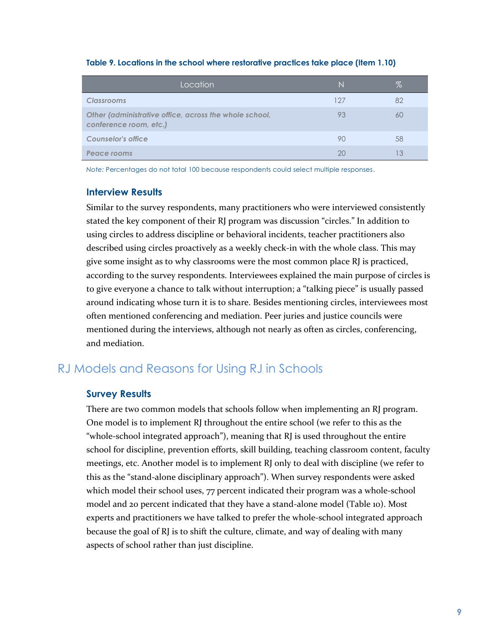| Location                                                                         | N   | %  |
|----------------------------------------------------------------------------------|-----|----|
| <b>Classrooms</b>                                                                | 127 | 82 |
| Other (administrative office, across the whole school,<br>conference room, etc.) | 93  | 60 |
| Counselor's office                                                               | 90  | 58 |
| Peace rooms                                                                      | 20  |    |

#### **Table 9. Locations in the school where restorative practices take place (Item 1.10)**

*Note:* Percentages do not total 100 because respondents could select multiple responses.

#### **Interview Results**

Similar to the survey respondents, many practitioners who were interviewed consistently stated the key component of their RJ program was discussion "circles." In addition to using circles to address discipline or behavioral incidents, teacher practitioners also described using circles proactively as a weekly check-in with the whole class. This may give some insight as to why classrooms were the most common place RJ is practiced, according to the survey respondents. Interviewees explained the main purpose of circles is to give everyone a chance to talk without interruption; a "talking piece" is usually passed around indicating whose turn it is to share. Besides mentioning circles, interviewees most often mentioned conferencing and mediation. Peer juries and justice councils were mentioned during the interviews, although not nearly as often as circles, conferencing, and mediation.

#### RJ Models and Reasons for Using RJ in Schools

#### **Survey Results**

There are two common models that schools follow when implementing an RJ program. One model is to implement RJ throughout the entire school (we refer to this as the "whole-school integrated approach"), meaning that RJ is used throughout the entire school for discipline, prevention efforts, skill building, teaching classroom content, faculty meetings, etc. Another model is to implement RJ only to deal with discipline (we refer to this as the "stand-alone disciplinary approach"). When survey respondents were asked which model their school uses, 77 percent indicated their program was a whole-school model and 20 percent indicated that they have a stand-alone model (Table 10). Most experts and practitioners we have talked to prefer the whole-school integrated approach because the goal of RJ is to shift the culture, climate, and way of dealing with many aspects of school rather than just discipline.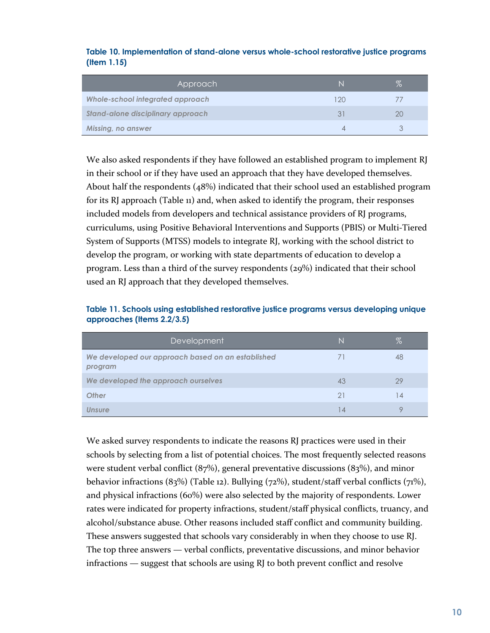#### **Table 10. Implementation of stand-alone versus whole-school restorative justice programs (Item 1.15)**

| Approach <sup>1</sup>                   | N   | $\%$ |
|-----------------------------------------|-----|------|
| <b>Whole-school integrated approach</b> | 120 |      |
| Stand-alone disciplinary approach       | 31  | 2C   |
| <b>Missing, no answer</b>               |     |      |

We also asked respondents if they have followed an established program to implement RJ in their school or if they have used an approach that they have developed themselves. About half the respondents (48%) indicated that their school used an established program for its RJ approach (Table 11) and, when asked to identify the program, their responses included models from developers and technical assistance providers of RJ programs, curriculums, using Positive Behavioral Interventions and Supports (PBIS) or Multi-Tiered System of Supports (MTSS) models to integrate RJ, working with the school district to develop the program, or working with state departments of education to develop a program. Less than a third of the survey respondents (29%) indicated that their school used an RJ approach that they developed themselves.

#### **Table 11. Schools using established restorative justice programs versus developing unique approaches (Items 2.2/3.5)**

| Development                                                  | N              | $\%$ |
|--------------------------------------------------------------|----------------|------|
| We developed our approach based on an established<br>program |                | 48   |
| We developed the approach ourselves                          | 43             | 29   |
| <b>Other</b>                                                 | 21             | 14   |
| Unsure                                                       | $\overline{4}$ |      |

We asked survey respondents to indicate the reasons RJ practices were used in their schools by selecting from a list of potential choices. The most frequently selected reasons were student verbal conflict  $(87%)$ , general preventative discussions  $(83%)$ , and minor behavior infractions (83%) (Table 12). Bullying (72%), student/staff verbal conflicts (71%), and physical infractions (60%) were also selected by the majority of respondents. Lower rates were indicated for property infractions, student/staff physical conflicts, truancy, and alcohol/substance abuse. Other reasons included staff conflict and community building. These answers suggested that schools vary considerably in when they choose to use RJ. The top three answers — verbal conflicts, preventative discussions, and minor behavior infractions — suggest that schools are using RJ to both prevent conflict and resolve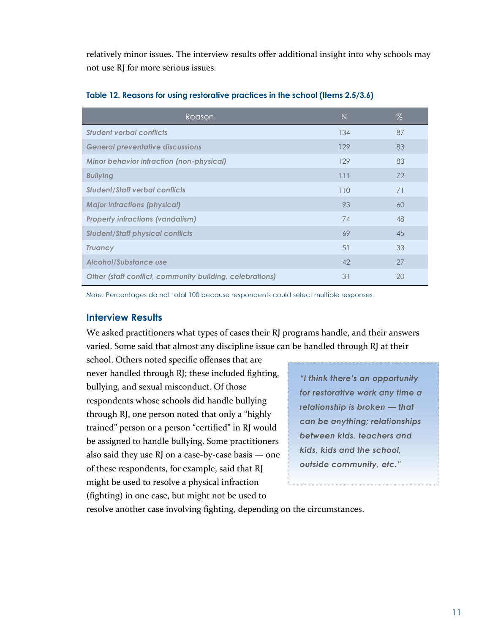relatively minor issues. The interview results offer additional insight into why schools may not use RJ for more serious issues.

| Reason                                                   | N   | %  |
|----------------------------------------------------------|-----|----|
| <b>Student verbal conflicts</b>                          | 134 | 87 |
| <b>General preventative discussions</b>                  | 129 | 83 |
| <b>Minor behavior infraction (non-physical)</b>          | 129 | 83 |
| <b>Bullying</b>                                          | 111 | 72 |
| <b>Student/Staff verbal conflicts</b>                    | 110 | 71 |
| <b>Major infractions (physical)</b>                      | 93  | 60 |
| <b>Property infractions (vandalism)</b>                  | 74  | 48 |
| <b>Student/Staff physical conflicts</b>                  | 69  | 45 |
| <b>Truancy</b>                                           | 51  | 33 |
| Alcohol/Substance use                                    | 42  | 27 |
| Other (staff conflict, community building, celebrations) | 31  | 20 |

#### **Table 12. Reasons for using restorative practices in the school (Items 2.5/3.6)**

*Note:* Percentages do not total 100 because respondents could select multiple responses.

#### **Interview Results**

We asked practitioners what types of cases their RJ programs handle, and their answers varied. Some said that almost any discipline issue can be handled through RJ at their

school. Others noted specific offenses that are never handled through RJ; these included fighting, bullying, and sexual misconduct. Of those respondents whose schools did handle bullying through RJ, one person noted that only a "highly trained" person or a person "certified" in RJ would be assigned to handle bullying. Some practitioners also said they use RJ on a case-by-case basis — one of these respondents, for example, said that RJ might be used to resolve a physical infraction (fighting) in one case, but might not be used to

*"I think there's an opportunity for restorative work any time a relationship is broken — that can be anything; relationships between kids, teachers and kids, kids and the school, outside community, etc."*

resolve another case involving fighting, depending on the circumstances.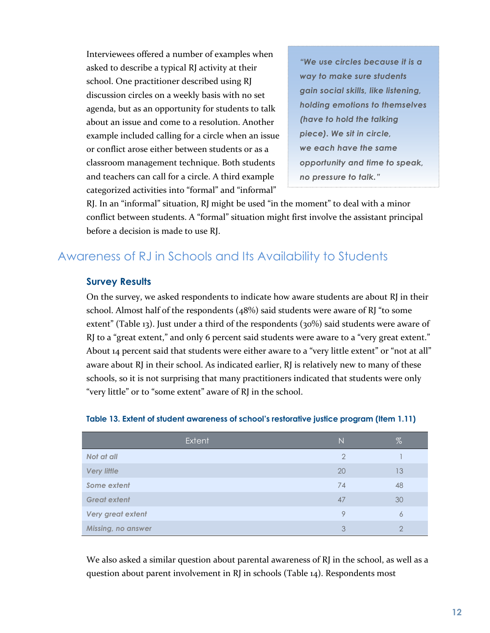Interviewees offered a number of examples when asked to describe a typical RJ activity at their school. One practitioner described using RJ discussion circles on a weekly basis with no set agenda, but as an opportunity for students to talk about an issue and come to a resolution. Another example included calling for a circle when an issue or conflict arose either between students or as a classroom management technique. Both students and teachers can call for a circle. A third example categorized activities into "formal" and "informal"

*"We use circles because it is a way to make sure students gain social skills, like listening, holding emotions to themselves (have to hold the talking piece). We sit in circle, we each have the same opportunity and time to speak, no pressure to talk."*

RJ. In an "informal" situation, RJ might be used "in the moment" to deal with a minor conflict between students. A "formal" situation might first involve the assistant principal before a decision is made to use RJ.

## Awareness of RJ in Schools and Its Availability to Students

#### **Survey Results**

On the survey, we asked respondents to indicate how aware students are about RJ in their school. Almost half of the respondents  $(48%)$  said students were aware of RJ "to some extent" (Table 13). Just under a third of the respondents (30%) said students were aware of RJ to a "great extent," and only 6 percent said students were aware to a "very great extent." About 14 percent said that students were either aware to a "very little extent" or "not at all" aware about RJ in their school. As indicated earlier, RJ is relatively new to many of these schools, so it is not surprising that many practitioners indicated that students were only "very little" or to "some extent" aware of RJ in the school.

| Extent              | $\mathbb N$    | $\%$ |
|---------------------|----------------|------|
| Not at all          | $\overline{2}$ |      |
| <b>Very little</b>  | 20             | 13   |
| Some extent         | 74             | 48   |
| <b>Great extent</b> | 47             | 30   |
| Very great extent   | 9              | 6    |
| Missing, no answer  | 3              | ◠    |

#### **Table 13. Extent of student awareness of school's restorative justice program (Item 1.11)**

We also asked a similar question about parental awareness of RJ in the school, as well as a question about parent involvement in RJ in schools (Table 14). Respondents most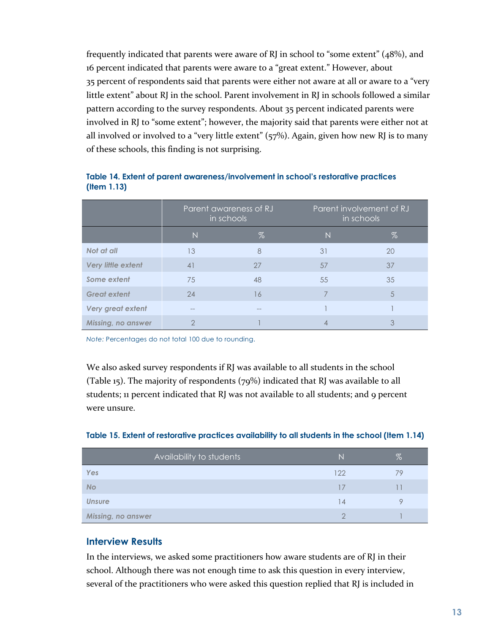frequently indicated that parents were aware of RJ in school to "some extent" (48%), and 16 percent indicated that parents were aware to a "great extent." However, about 35 percent of respondents said that parents were either not aware at all or aware to a "very little extent" about RJ in the school. Parent involvement in RJ in schools followed a similar pattern according to the survey respondents. About 35 percent indicated parents were involved in RJ to "some extent"; however, the majority said that parents were either not at all involved or involved to a "very little extent"  $(57%)$ . Again, given how new RJ is to many of these schools, this finding is not surprising.

| Table 14. Extent of parent awareness/involvement in school's restorative practices |
|------------------------------------------------------------------------------------|
| $($ ltem 1.13 $)$                                                                  |

|                           | Parent awareness of RJ<br>in schools |      |    | Parent involvement of RJ<br>in schools |
|---------------------------|--------------------------------------|------|----|----------------------------------------|
|                           | N                                    | $\%$ | N  | $\%$                                   |
| Not at all                | 13                                   | 8    | 31 | 20                                     |
| <b>Very little extent</b> | 41                                   | 27   | 57 | 37                                     |
| Some extent               | 75                                   | 48   | 55 | 35                                     |
| <b>Great extent</b>       | 24                                   | 16   |    | 5                                      |
| Very great extent         |                                      |      |    |                                        |
| <b>Missing, no answer</b> | ◠                                    |      | 4  | 3                                      |

*Note:* Percentages do not total 100 due to rounding.

We also asked survey respondents if RJ was available to all students in the school (Table 15). The majority of respondents  $(79%)$  indicated that RJ was available to all students; 11 percent indicated that RJ was not available to all students; and 9 percent were unsure.

|  |  |  | Table 15. Extent of restorative practices availability to all students in the school (Item 1.14) |  |
|--|--|--|--------------------------------------------------------------------------------------------------|--|
|  |  |  |                                                                                                  |  |

| Availability to students  | N   | $\%$ |
|---------------------------|-----|------|
| Yes                       | 122 | 79   |
| <b>No</b>                 | 17  |      |
| <b>Unsure</b>             | 14  |      |
| <b>Missing, no answer</b> |     |      |

#### **Interview Results**

In the interviews, we asked some practitioners how aware students are of RJ in their school. Although there was not enough time to ask this question in every interview, several of the practitioners who were asked this question replied that RJ is included in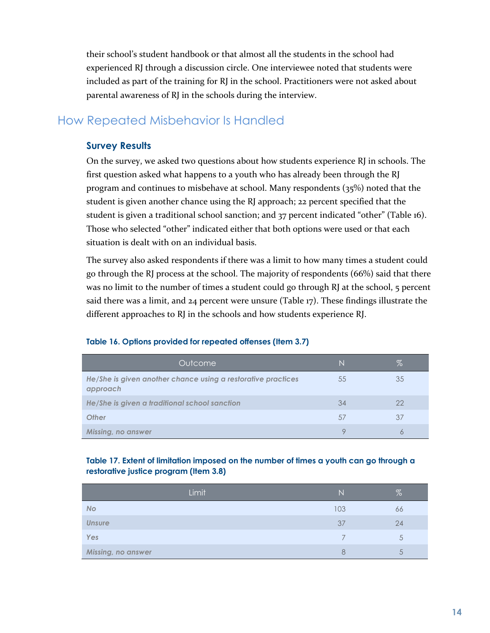their school's student handbook or that almost all the students in the school had experienced RJ through a discussion circle. One interviewee noted that students were included as part of the training for RJ in the school. Practitioners were not asked about parental awareness of RJ in the schools during the interview.

## How Repeated Misbehavior Is Handled

#### **Survey Results**

On the survey, we asked two questions about how students experience RJ in schools. The first question asked what happens to a youth who has already been through the RJ program and continues to misbehave at school. Many respondents (35%) noted that the student is given another chance using the RJ approach; 22 percent specified that the student is given a traditional school sanction; and 37 percent indicated "other" (Table 16). Those who selected "other" indicated either that both options were used or that each situation is dealt with on an individual basis.

The survey also asked respondents if there was a limit to how many times a student could go through the RJ process at the school. The majority of respondents (66%) said that there was no limit to the number of times a student could go through RJ at the school, 5 percent said there was a limit, and  $24$  percent were unsure (Table 17). These findings illustrate the different approaches to RJ in the schools and how students experience RJ.

| Outcome                                                                  |    | %  |
|--------------------------------------------------------------------------|----|----|
| He/She is given another chance using a restorative practices<br>approach | 55 | 35 |
| He/She is given a traditional school sanction                            | 34 | 22 |
| <b>Other</b>                                                             | 57 | 37 |
| Missing, no answer                                                       |    |    |

#### **Table 16. Options provided for repeated offenses (Item 3.7)**

#### **Table 17. Extent of limitation imposed on the number of times a youth can go through a restorative justice program (Item 3.8)**

|                    | Limit | Ν   | %  |
|--------------------|-------|-----|----|
| <b>No</b>          |       | 103 | 66 |
| <b>Unsure</b>      |       | 37  | 24 |
| Yes                |       |     | 5  |
| Missing, no answer |       | 8   | 5  |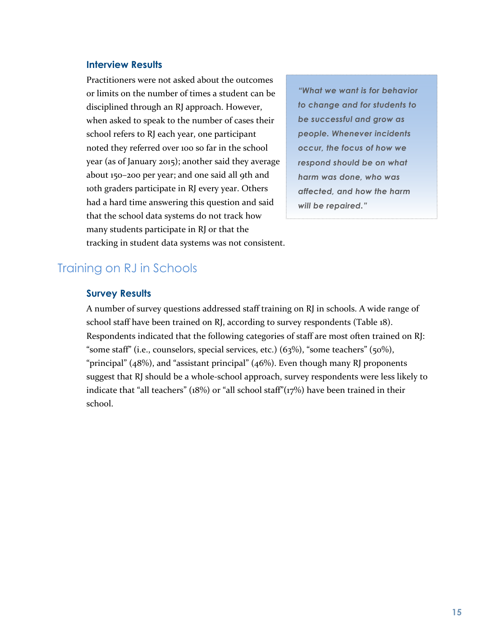#### **Interview Results**

Practitioners were not asked about the outcomes or limits on the number of times a student can be disciplined through an RJ approach. However, when asked to speak to the number of cases their school refers to RJ each year, one participant noted they referred over 100 so far in the school year (as of January 2015); another said they average about 150–200 per year; and one said all 9th and 10th graders participate in RJ every year. Others had a hard time answering this question and said that the school data systems do not track how many students participate in RI or that the tracking in student data systems was not consistent.

*"What we want is for behavior to change and for students to be successful and grow as people. Whenever incidents occur, the focus of how we respond should be on what harm was done, who was affected, and how the harm will be repaired."*

## Training on RJ in Schools

#### **Survey Results**

A number of survey questions addressed staff training on RJ in schools. A wide range of school staff have been trained on RJ, according to survey respondents (Table 18). Respondents indicated that the following categories of staff are most often trained on RJ: "some staff" (i.e., counselors, special services, etc.) (63%), "some teachers" (50%), "principal" (48%), and "assistant principal" (46%). Even though many RJ proponents suggest that RJ should be a whole-school approach, survey respondents were less likely to indicate that "all teachers" (18%) or "all school staff"(17%) have been trained in their school.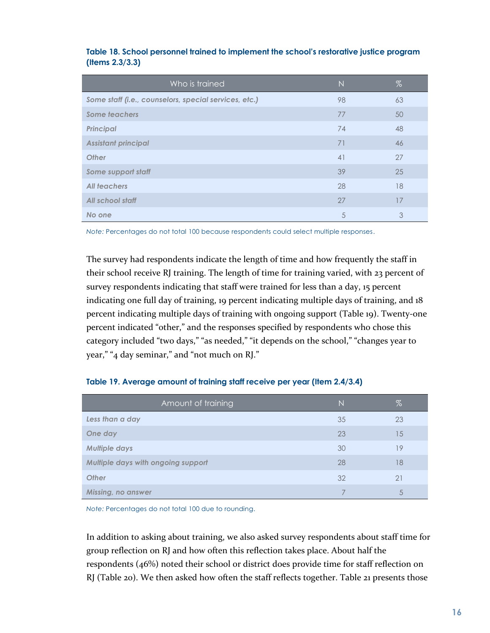| Who is trained                                        | $\mathbb N$ | $\%$ |
|-------------------------------------------------------|-------------|------|
| Some staff (i.e., counselors, special services, etc.) | 98          | 63   |
| <b>Some teachers</b>                                  | 77          | 50   |
| <b>Principal</b>                                      | 74          | 48   |
| <b>Assistant principal</b>                            | 71          | 46   |
| <b>Other</b>                                          | 41          | 27   |
| Some support staff                                    | 39          | 25   |
| All teachers                                          | 28          | 18   |
| All school staff                                      | 27          | 17   |
| No one                                                | 5           | 3    |

**Table 18. School personnel trained to implement the school's restorative justice program (Items 2.3/3.3)** 

*Note:* Percentages do not total 100 because respondents could select multiple responses.

The survey had respondents indicate the length of time and how frequently the staff in their school receive RJ training. The length of time for training varied, with 23 percent of survey respondents indicating that staff were trained for less than a day, 15 percent indicating one full day of training, 19 percent indicating multiple days of training, and 18 percent indicating multiple days of training with ongoing support (Table 19). Twenty-one percent indicated "other," and the responses specified by respondents who chose this category included "two days," "as needed," "it depends on the school," "changes year to year," "4 day seminar," and "not much on RJ."

| Amount of training                 | N  | $\%$ |
|------------------------------------|----|------|
| Less than a day                    | 35 | 23   |
| One day                            | 23 | 15   |
| <b>Multiple days</b>               | 30 | 19   |
| Multiple days with ongoing support | 28 | 18   |
| <b>Other</b>                       | 32 | 21   |
| <b>Missing, no answer</b>          |    | 5    |

|  |  |  |  | Table 19. Average amount of training staff receive per year (Item 2.4/3.4) |
|--|--|--|--|----------------------------------------------------------------------------|
|--|--|--|--|----------------------------------------------------------------------------|

*Note:* Percentages do not total 100 due to rounding.

In addition to asking about training, we also asked survey respondents about staff time for group reflection on RJ and how often this reflection takes place. About half the respondents (46%) noted their school or district does provide time for staff reflection on RJ (Table 20). We then asked how often the staff reflects together. Table 21 presents those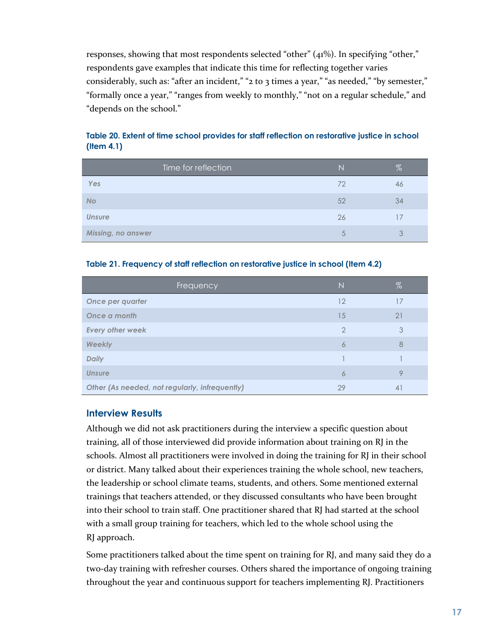responses, showing that most respondents selected "other" (41%). In specifying "other," respondents gave examples that indicate this time for reflecting together varies considerably, such as: "after an incident," "2 to 3 times a year," "as needed," "by semester," "formally once a year," "ranges from weekly to monthly," "not on a regular schedule," and "depends on the school."

| Time for reflection | N  | %  |
|---------------------|----|----|
| Yes                 | 72 | 46 |
| <b>No</b>           | 52 | 34 |
| <b>Unsure</b>       | 26 |    |
| Missing, no answer  | 5  | 3  |

#### **Table 20. Extent of time school provides for staff reflection on restorative justice in school (Item 4.1)**

#### **Table 21. Frequency of staff reflection on restorative justice in school (Item 4.2)**

| Frequency                                      | $\mathbb N$   | $\%$           |
|------------------------------------------------|---------------|----------------|
| Once per quarter                               | 12            |                |
| Once a month                                   | 15            | 21             |
| <b>Every other week</b>                        | $\mathcal{P}$ | 3              |
| <b>Weekly</b>                                  | 6             | 8              |
| <b>Daily</b>                                   |               |                |
| <b>Unsure</b>                                  | 6             | Q              |
| Other (As needed, not regularly, infrequently) | 29            | $\overline{4}$ |

#### **Interview Results**

Although we did not ask practitioners during the interview a specific question about training, all of those interviewed did provide information about training on RJ in the schools. Almost all practitioners were involved in doing the training for RJ in their school or district. Many talked about their experiences training the whole school, new teachers, the leadership or school climate teams, students, and others. Some mentioned external trainings that teachers attended, or they discussed consultants who have been brought into their school to train staff. One practitioner shared that RJ had started at the school with a small group training for teachers, which led to the whole school using the RJ approach.

Some practitioners talked about the time spent on training for RJ, and many said they do a two-day training with refresher courses. Others shared the importance of ongoing training throughout the year and continuous support for teachers implementing RJ. Practitioners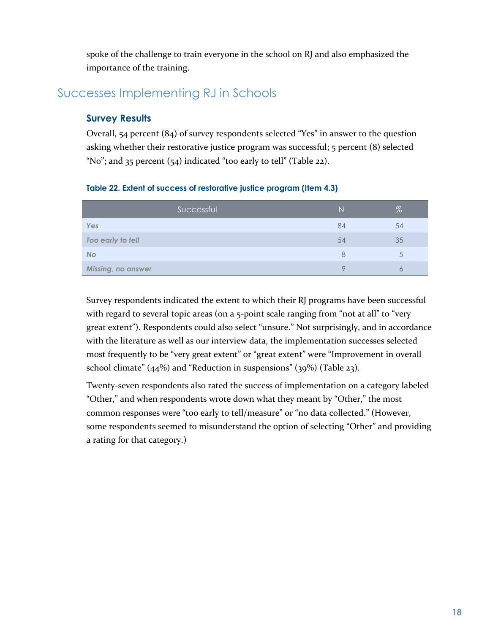spoke of the challenge to train everyone in the school on RJ and also emphasized the importance of the training.

## Successes Implementing RJ in Schools

#### **Survey Results**

Overall, 54 percent (84) of survey respondents selected "Yes" in answer to the question asking whether their restorative justice program was successful; 5 percent (8) selected "No"; and  $35$  percent  $(54)$  indicated "too early to tell" (Table 22).

|  |  | Table 22. Extent of success of restorative justice program (Item 4.3) |  |  |
|--|--|-----------------------------------------------------------------------|--|--|
|  |  |                                                                       |  |  |

| Successful         | N  | %  |
|--------------------|----|----|
| Yes                | 84 | 54 |
| Too early to tell  | 54 | 35 |
| <b>No</b>          | 8  | 5  |
| Missing, no answer | O  |    |

Survey respondents indicated the extent to which their RJ programs have been successful with regard to several topic areas (on a 5-point scale ranging from "not at all" to "very great extent"). Respondents could also select "unsure." Not surprisingly, and in accordance with the literature as well as our interview data, the implementation successes selected most frequently to be "very great extent" or "great extent" were "Improvement in overall school climate" (44%) and "Reduction in suspensions" (39%) (Table 23).

Twenty-seven respondents also rated the success of implementation on a category labeled "Other," and when respondents wrote down what they meant by "Other," the most common responses were "too early to tell/measure" or "no data collected." (However, some respondents seemed to misunderstand the option of selecting "Other" and providing a rating for that category.)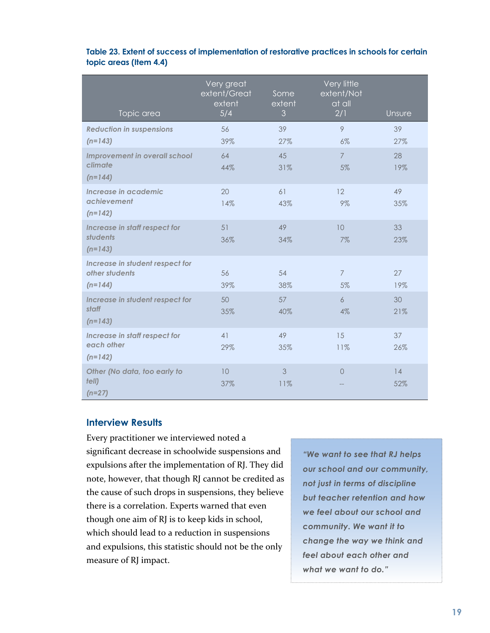| Topic area                                                     | Very great<br>extent/Great<br>extent<br>5/4 | Some<br>extent<br>3 | Very little<br>extent/Not<br>at all<br>2/1 | Unsure    |
|----------------------------------------------------------------|---------------------------------------------|---------------------|--------------------------------------------|-----------|
| <b>Reduction in suspensions</b><br>$(n=143)$                   | 56<br>39%                                   | 39<br>27%           | 9<br>6%                                    | 39<br>27% |
| <b>Improvement in overall school</b><br>climate<br>$(n=144)$   | 64<br>44%                                   | 45<br>31%           | $\overline{7}$<br>5%                       | 28<br>19% |
| Increase in academic<br>achievement<br>$(n=142)$               | 20<br>14%                                   | 61<br>43%           | 12<br>9%                                   | 49<br>35% |
| Increase in staff respect for<br>students<br>$(n=143)$         | 51<br>36%                                   | 49<br>34%           | 10<br>7%                                   | 33<br>23% |
| Increase in student respect for<br>other students<br>$(n=144)$ | 56<br>39%                                   | 54<br>38%           | $\overline{7}$<br>5%                       | 27<br>19% |
| Increase in student respect for<br>staff<br>$(n=143)$          | 50<br>35%                                   | 57<br>40%           | 6<br>4%                                    | 30<br>21% |
| Increase in staff respect for<br>each other<br>$(n=142)$       | 41<br>29%                                   | 49<br>35%           | 15<br>11%                                  | 37<br>26% |
| Other (No data, too early to<br>$t$ ell $)$<br>$(n=27)$        | 10<br>37%                                   | 3<br>11%            | $\overline{0}$                             | 14<br>52% |

#### **Table 23. Extent of success of implementation of restorative practices in schools for certain topic areas (Item 4.4)**

#### **Interview Results**

Every practitioner we interviewed noted a significant decrease in schoolwide suspensions and expulsions after the implementation of RJ. They did note, however, that though RJ cannot be credited as the cause of such drops in suspensions, they believe there is a correlation. Experts warned that even though one aim of RJ is to keep kids in school, which should lead to a reduction in suspensions and expulsions, this statistic should not be the only measure of RJ impact.

*"We want to see that RJ helps our school and our community, not just in terms of discipline but teacher retention and how we feel about our school and community. We want it to change the way we think and feel about each other and what we want to do."*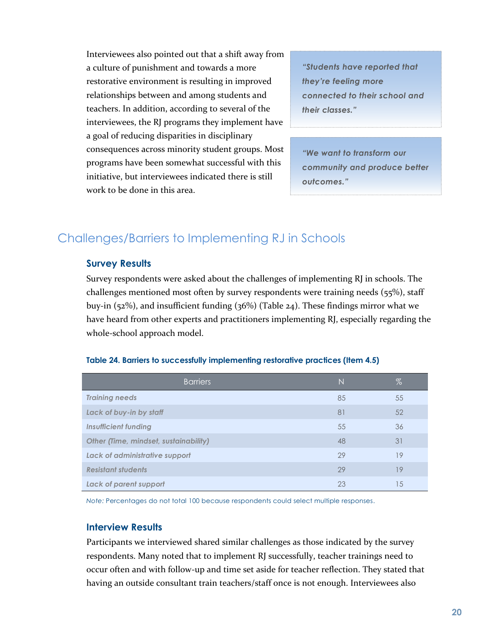Interviewees also pointed out that a shift away from a culture of punishment and towards a more restorative environment is resulting in improved relationships between and among students and teachers. In addition, according to several of the interviewees, the RJ programs they implement have a goal of reducing disparities in disciplinary consequences across minority student groups. Most programs have been somewhat successful with this initiative, but interviewees indicated there is still work to be done in this area.

*"Students have reported that they're feeling more connected to their school and their classes."*

*"We want to transform our community and produce better outcomes."*

## Challenges/Barriers to Implementing RJ in Schools

#### **Survey Results**

Survey respondents were asked about the challenges of implementing RJ in schools. The challenges mentioned most often by survey respondents were training needs (55%), staff buy-in (52%), and insufficient funding (36%) (Table 24). These findings mirror what we have heard from other experts and practitioners implementing RJ, especially regarding the whole-school approach model.

| <b>Barriers</b>                       | N  | $\%$ |
|---------------------------------------|----|------|
| <b>Training needs</b>                 | 85 | 55   |
| Lack of buy-in by staff               | 81 | 52   |
| <b>Insufficient funding</b>           | 55 | 36   |
| Other (Time, mindset, sustainability) | 48 | 31   |
| Lack of administrative support        | 29 | 19   |
| <b>Resistant students</b>             | 29 | 19   |
| Lack of parent support                | 23 | 15   |

#### **Table 24. Barriers to successfully implementing restorative practices (Item 4.5)**

*Note:* Percentages do not total 100 because respondents could select multiple responses.

#### **Interview Results**

Participants we interviewed shared similar challenges as those indicated by the survey respondents. Many noted that to implement RJ successfully, teacher trainings need to occur often and with follow-up and time set aside for teacher reflection. They stated that having an outside consultant train teachers/staff once is not enough. Interviewees also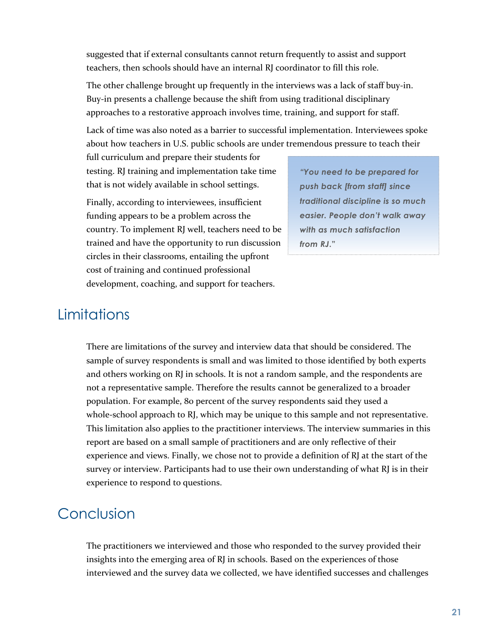suggested that if external consultants cannot return frequently to assist and support teachers, then schools should have an internal RJ coordinator to fill this role.

The other challenge brought up frequently in the interviews was a lack of staff buy-in. Buy-in presents a challenge because the shift from using traditional disciplinary approaches to a restorative approach involves time, training, and support for staff.

Lack of time was also noted as a barrier to successful implementation. Interviewees spoke about how teachers in U.S. public schools are under tremendous pressure to teach their

full curriculum and prepare their students for testing. RJ training and implementation take time that is not widely available in school settings.

Finally, according to interviewees, insufficient funding appears to be a problem across the country. To implement RJ well, teachers need to be trained and have the opportunity to run discussion circles in their classrooms, entailing the upfront cost of training and continued professional development, coaching, and support for teachers.

*"You need to be prepared for push back [from staff] since traditional discipline is so much easier. People don't walk away with as much satisfaction from RJ***."**

## **Limitations**

There are limitations of the survey and interview data that should be considered. The sample of survey respondents is small and was limited to those identified by both experts and others working on RJ in schools. It is not a random sample, and the respondents are not a representative sample. Therefore the results cannot be generalized to a broader population. For example, 80 percent of the survey respondents said they used a whole-school approach to RJ, which may be unique to this sample and not representative. This limitation also applies to the practitioner interviews. The interview summaries in this report are based on a small sample of practitioners and are only reflective of their experience and views. Finally, we chose not to provide a definition of RJ at the start of the survey or interview. Participants had to use their own understanding of what RJ is in their experience to respond to questions.

## Conclusion

The practitioners we interviewed and those who responded to the survey provided their insights into the emerging area of RJ in schools. Based on the experiences of those interviewed and the survey data we collected, we have identified successes and challenges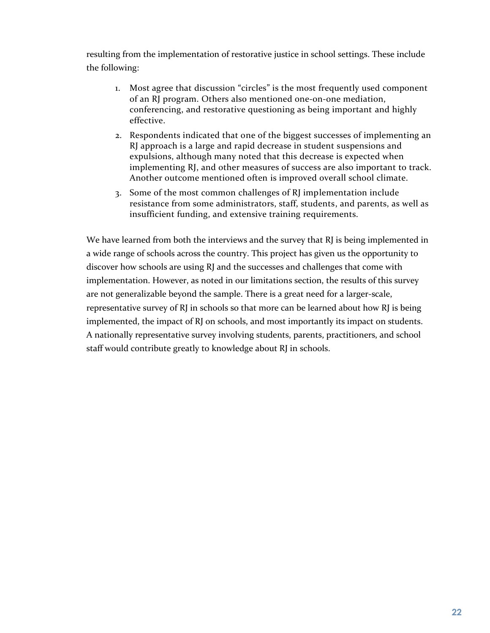resulting from the implementation of restorative justice in school settings. These include the following:

- 1. Most agree that discussion "circles" is the most frequently used component of an RJ program. Others also mentioned one-on-one mediation, conferencing, and restorative questioning as being important and highly effective.
- 2. Respondents indicated that one of the biggest successes of implementing an RJ approach is a large and rapid decrease in student suspensions and expulsions, although many noted that this decrease is expected when implementing RJ, and other measures of success are also important to track. Another outcome mentioned often is improved overall school climate.
- 3. Some of the most common challenges of RJ implementation include resistance from some administrators, staff, students, and parents, as well as insufficient funding, and extensive training requirements.

We have learned from both the interviews and the survey that RJ is being implemented in a wide range of schools across the country. This project has given us the opportunity to discover how schools are using RJ and the successes and challenges that come with implementation. However, as noted in our limitations section, the results of this survey are not generalizable beyond the sample. There is a great need for a larger-scale, representative survey of RJ in schools so that more can be learned about how RJ is being implemented, the impact of RJ on schools, and most importantly its impact on students. A nationally representative survey involving students, parents, practitioners, and school staff would contribute greatly to knowledge about RJ in schools.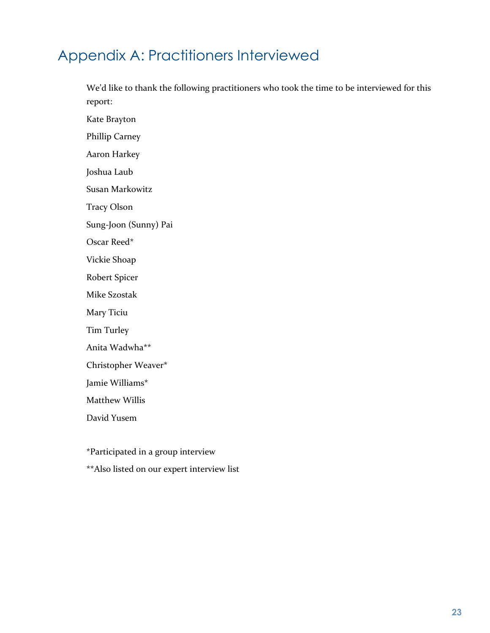## Appendix A: Practitioners Interviewed

We'd like to thank the following practitioners who took the time to be interviewed for this report:

Kate Brayton

Phillip Carney

Aaron Harkey

Joshua Laub

Susan Markowitz

Tracy Olson

Sung-Joon (Sunny) Pai

Oscar Reed\*

Vickie Shoap

Robert Spicer

Mike Szostak

Mary Ticiu

Tim Turley

Anita Wadwha\*\*

Christopher Weaver\*

Jamie Williams\*

Matthew Willis

David Yusem

\*Participated in a group interview

\*\*Also listed on our expert interview list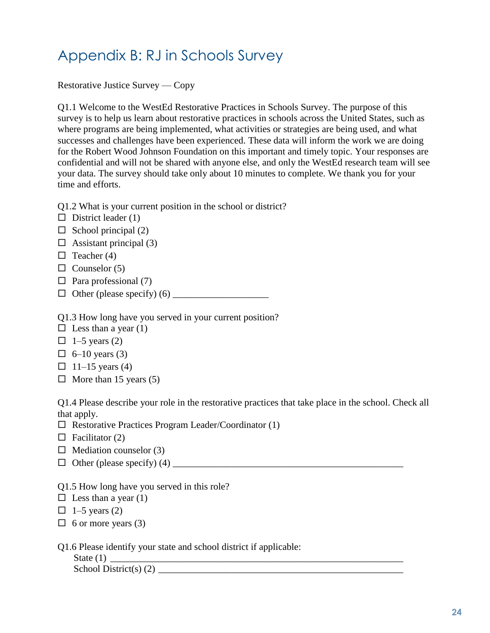## Appendix B: RJ in Schools Survey

Restorative Justice Survey — Copy

Q1.1 Welcome to the WestEd Restorative Practices in Schools Survey. The purpose of this survey is to help us learn about restorative practices in schools across the United States, such as where programs are being implemented, what activities or strategies are being used, and what successes and challenges have been experienced. These data will inform the work we are doing for the Robert Wood Johnson Foundation on this important and timely topic. Your responses are confidential and will not be shared with anyone else, and only the WestEd research team will see your data. The survey should take only about 10 minutes to complete. We thank you for your time and efforts.

Q1.2 What is your current position in the school or district?

- $\Box$  District leader (1)
- $\Box$  School principal (2)
- $\Box$  Assistant principal (3)
- $\Box$  Teacher (4)
- $\Box$  Counselor (5)
- $\Box$  Para professional (7)
- $\Box$  Other (please specify) (6)

Q1.3 How long have you served in your current position?

- $\Box$  Less than a year (1)
- $\Box$  1–5 years (2)
- $\Box$  6–10 years (3)
- $\Box$  11–15 years (4)
- $\Box$  More than 15 years (5)

Q1.4 Please describe your role in the restorative practices that take place in the school. Check all that apply.

- $\Box$  Restorative Practices Program Leader/Coordinator (1)
- $\Box$  Facilitator (2)
- $\Box$  Mediation counselor (3)
- Other (please specify) (4) \_\_\_\_\_\_\_\_\_\_\_\_\_\_\_\_\_\_\_\_\_\_\_\_\_\_\_\_\_\_\_\_\_\_\_\_\_\_\_\_\_\_\_\_\_\_\_\_
- Q1.5 How long have you served in this role?
- $\Box$  Less than a year (1)
- $\Box$  1–5 years (2)
- $\Box$  6 or more years (3)

Q1.6 Please identify your state and school district if applicable:

| State $(1)$              |  |
|--------------------------|--|
| School District(s) $(2)$ |  |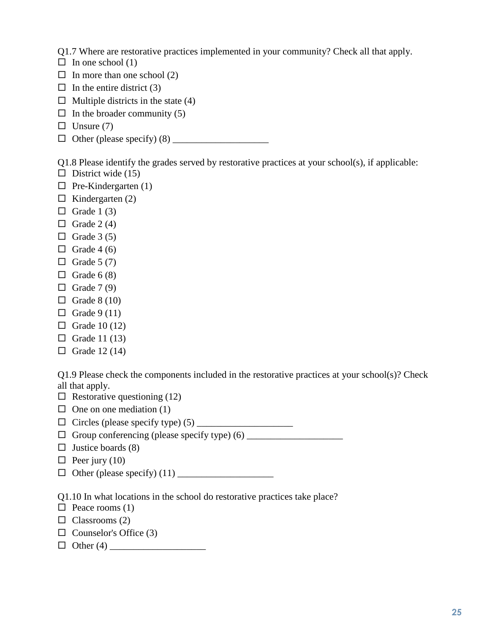Q1.7 Where are restorative practices implemented in your community? Check all that apply.

- $\Box$  In one school (1)
- $\Box$  In more than one school (2)
- $\Box$  In the entire district (3)
- $\Box$  Multiple districts in the state (4)
- $\Box$  In the broader community (5)
- $\Box$  Unsure (7)
- Other (please specify) (8) \_\_\_\_\_\_\_\_\_\_\_\_\_\_\_\_\_\_\_\_

Q1.8 Please identify the grades served by restorative practices at your school(s), if applicable:

- $\Box$  District wide (15)
- $\Box$  Pre-Kindergarten (1)
- $\Box$  Kindergarten (2)
- $\Box$  Grade 1 (3)
- $\Box$  Grade 2 (4)
- $\Box$  Grade 3 (5)
- $\Box$  Grade 4 (6)
- $\Box$  Grade 5 (7)
- $\Box$  Grade 6 (8)
- $\Box$  Grade 7 (9)
- $\Box$  Grade 8 (10)
- $\Box$  Grade 9 (11)
- $\Box$  Grade 10 (12)
- $\Box$  Grade 11 (13)
- $\Box$  Grade 12 (14)

Q1.9 Please check the components included in the restorative practices at your school(s)? Check all that apply.

- $\Box$  Restorative questioning (12)
- $\Box$  One on one mediation (1)
- Circles (please specify type) (5) \_\_\_\_\_\_\_\_\_\_\_\_\_\_\_\_\_\_\_\_
- Group conferencing (please specify type) (6) \_\_\_\_\_\_\_\_\_\_\_\_\_\_\_\_\_\_\_\_
- $\Box$  Justice boards (8)
- $\Box$  Peer jury (10)
- $\Box$  Other (please specify) (11)

Q1.10 In what locations in the school do restorative practices take place?

- $\Box$  Peace rooms (1)
- $\Box$  Classrooms (2)
- $\Box$  Counselor's Office (3)
- Other (4) \_\_\_\_\_\_\_\_\_\_\_\_\_\_\_\_\_\_\_\_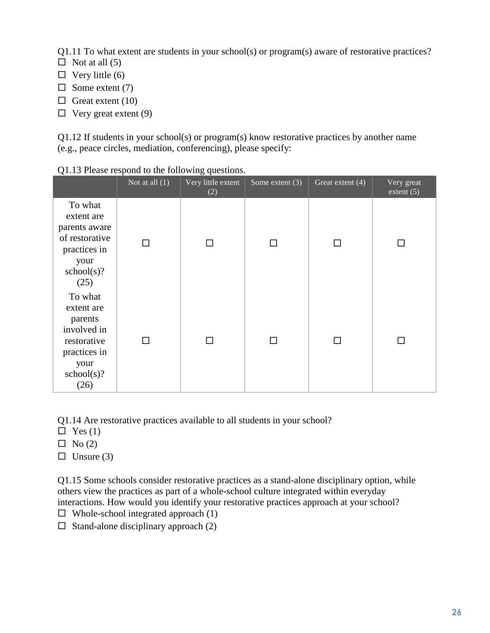Q1.11 To what extent are students in your school(s) or program(s) aware of restorative practices?

- $\Box$  Not at all (5)
- $\Box$  Very little (6)
- $\Box$  Some extent (7)
- $\Box$  Great extent (10)
- $\Box$  Very great extent (9)

Q1.12 If students in your school(s) or program(s) know restorative practices by another name (e.g., peace circles, mediation, conferencing), please specify:

|                                                                                                              | Not at all $(1)$ | Very little extent<br>(2) | Some extent $(3)$ | Great extent (4) | Very great<br>extent $(5)$ |
|--------------------------------------------------------------------------------------------------------------|------------------|---------------------------|-------------------|------------------|----------------------------|
| To what<br>extent are<br>parents aware<br>of restorative<br>practices in<br>your<br>school(s)?<br>(25)       | $\mathbf{L}$     |                           |                   |                  |                            |
| To what<br>extent are<br>parents<br>involved in<br>restorative<br>practices in<br>your<br>school(s)?<br>(26) | ΓI               |                           |                   | □                | $\mathsf{L}$               |

Q1.13 Please respond to the following questions.

Q1.14 Are restorative practices available to all students in your school?

- $\Box$  Yes (1)
- $\Box$  No (2)
- $\Box$  Unsure (3)

Q1.15 Some schools consider restorative practices as a stand-alone disciplinary option, while others view the practices as part of a whole-school culture integrated within everyday interactions. How would you identify your restorative practices approach at your school?

- $\Box$  Whole-school integrated approach (1)
- $\Box$  Stand-alone disciplinary approach (2)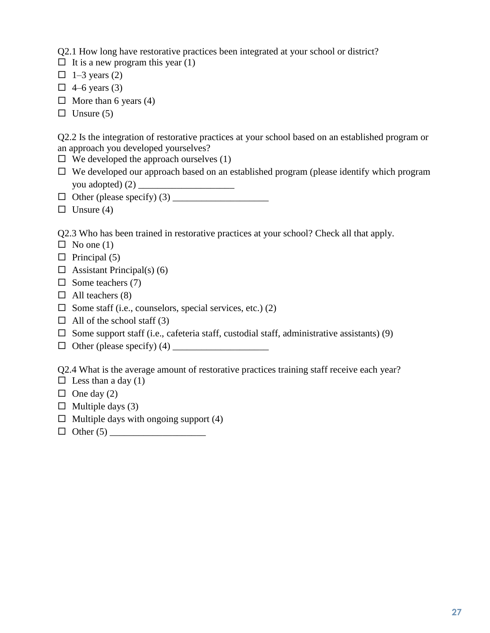Q2.1 How long have restorative practices been integrated at your school or district?

- $\Box$  It is a new program this year (1)
- $\Box$  1–3 years (2)
- $\Box$  4–6 years (3)
- $\Box$  More than 6 years (4)
- $\Box$  Unsure (5)

Q2.2 Is the integration of restorative practices at your school based on an established program or an approach you developed yourselves?

- $\Box$  We developed the approach ourselves (1)
- $\Box$  We developed our approach based on an established program (please identify which program you adopted) (2) \_\_\_\_\_\_\_\_\_\_\_\_\_\_\_\_\_\_\_\_
- Other (please specify) (3) \_\_\_\_\_\_\_\_\_\_\_\_\_\_\_\_\_\_\_\_
- $\Box$  Unsure (4)

Q2.3 Who has been trained in restorative practices at your school? Check all that apply.

- $\Box$  No one (1)
- $\Box$  Principal (5)
- $\Box$  Assistant Principal(s) (6)
- $\Box$  Some teachers (7)
- $\Box$  All teachers (8)
- $\Box$  Some staff (i.e., counselors, special services, etc.) (2)
- $\Box$  All of the school staff (3)
- $\square$  Some support staff (i.e., cafeteria staff, custodial staff, administrative assistants) (9)
- Other (please specify) (4) \_\_\_\_\_\_\_\_\_\_\_\_\_\_\_\_\_\_\_\_

Q2.4 What is the average amount of restorative practices training staff receive each year?

- $\Box$  Less than a day (1)
- $\Box$  One day (2)
- $\Box$  Multiple days (3)
- $\Box$  Multiple days with ongoing support (4)
- Other (5) \_\_\_\_\_\_\_\_\_\_\_\_\_\_\_\_\_\_\_\_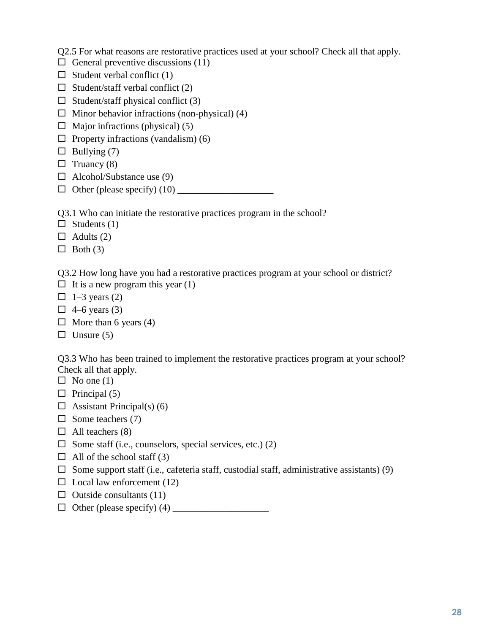Q2.5 For what reasons are restorative practices used at your school? Check all that apply.

 $\Box$  General preventive discussions (11)

- $\Box$  Student verbal conflict (1)
- $\Box$  Student/staff verbal conflict (2)
- $\Box$  Student/staff physical conflict (3)
- $\Box$  Minor behavior infractions (non-physical) (4)
- $\Box$  Major infractions (physical) (5)
- $\Box$  Property infractions (vandalism) (6)
- $\Box$  Bullying (7)
- $\Box$  Truancy (8)
- $\Box$  Alcohol/Substance use (9)
- $\Box$  Other (please specify) (10)  $\Box$

Q3.1 Who can initiate the restorative practices program in the school?

 $\Box$  Students (1)

 $\Box$  Adults (2)

 $\Box$  Both (3)

Q3.2 How long have you had a restorative practices program at your school or district?

- $\Box$  It is a new program this year (1)
- $\Box$  1–3 years (2)
- $\Box$  4–6 years (3)
- $\Box$  More than 6 years (4)
- $\Box$  Unsure (5)

Q3.3 Who has been trained to implement the restorative practices program at your school? Check all that apply.

- $\Box$  No one (1)
- $\Box$  Principal (5)
- $\Box$  Assistant Principal(s) (6)
- $\Box$  Some teachers (7)
- $\Box$  All teachers (8)
- $\Box$  Some staff (i.e., counselors, special services, etc.) (2)
- $\Box$  All of the school staff (3)
- $\square$  Some support staff (i.e., cafeteria staff, custodial staff, administrative assistants) (9)
- $\Box$  Local law enforcement (12)
- $\Box$  Outside consultants (11)
- $\Box$  Other (please specify) (4)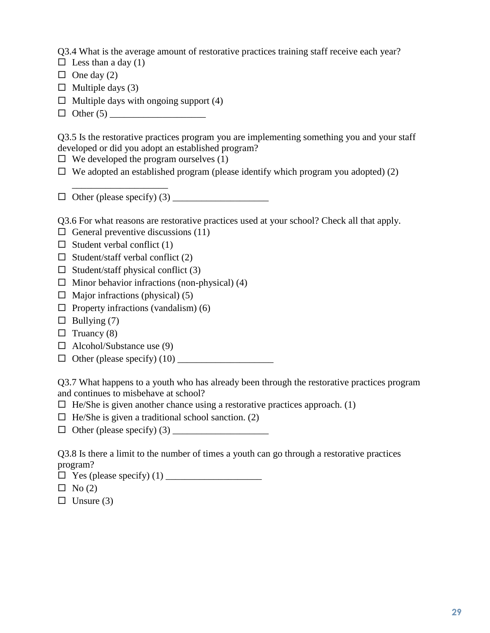Q3.4 What is the average amount of restorative practices training staff receive each year?

- $\Box$  Less than a day (1)
- $\Box$  One day (2)
- $\Box$  Multiple days (3)
- $\Box$  Multiple days with ongoing support (4)
- $\Box$  Other (5)

Q3.5 Is the restorative practices program you are implementing something you and your staff developed or did you adopt an established program?

- $\Box$  We developed the program ourselves (1)
- $\Box$  We adopted an established program (please identify which program you adopted) (2)
- $\Box$  Other (please specify) (3)

Q3.6 For what reasons are restorative practices used at your school? Check all that apply.

- $\Box$  General preventive discussions (11)
- $\Box$  Student verbal conflict (1)

\_\_\_\_\_\_\_\_\_\_\_\_\_\_\_\_\_\_\_\_

- $\Box$  Student/staff verbal conflict (2)
- $\Box$  Student/staff physical conflict (3)
- $\Box$  Minor behavior infractions (non-physical) (4)
- $\Box$  Major infractions (physical) (5)
- $\Box$  Property infractions (vandalism) (6)
- $\Box$  Bullying (7)
- $\Box$  Truancy (8)
- $\Box$  Alcohol/Substance use (9)
- $\Box$  Other (please specify) (10)

Q3.7 What happens to a youth who has already been through the restorative practices program and continues to misbehave at school?

- $\Box$  He/She is given another chance using a restorative practices approach. (1)
- $\Box$  He/She is given a traditional school sanction. (2)
- $\Box$  Other (please specify) (3)

Q3.8 Is there a limit to the number of times a youth can go through a restorative practices program?

|  | $\Box$ Yes (please specify) (1) |  |
|--|---------------------------------|--|
|--|---------------------------------|--|

- $\Box$  No (2)
- $\Box$  Unsure (3)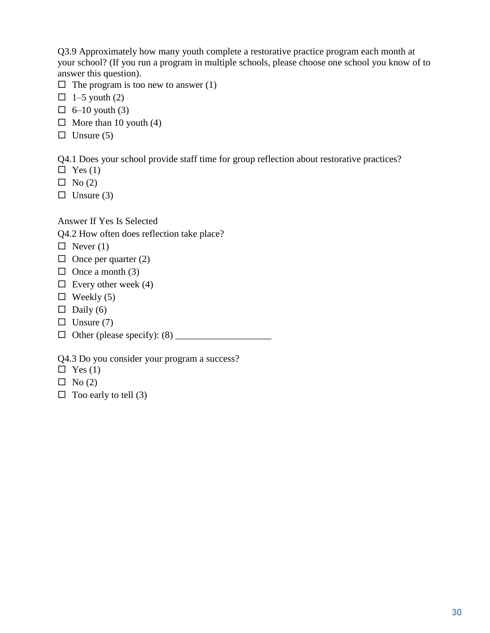Q3.9 Approximately how many youth complete a restorative practice program each month at your school? (If you run a program in multiple schools, please choose one school you know of to answer this question).

- $\Box$  The program is too new to answer (1)
- $\Box$  1–5 youth (2)
- $\Box$  6–10 youth (3)
- $\Box$  More than 10 youth (4)
- $\Box$  Unsure (5)

Q4.1 Does your school provide staff time for group reflection about restorative practices?

- $\Box$  Yes (1)
- $\Box$  No (2)

 $\Box$  Unsure (3)

Answer If Yes Is Selected

Q4.2 How often does reflection take place?

- $\Box$  Never (1)
- $\Box$  Once per quarter (2)
- $\Box$  Once a month (3)
- $\Box$  Every other week (4)
- $\Box$  Weekly (5)
- $\Box$  Daily (6)
- $\Box$  Unsure (7)
- $\Box$  Other (please specify): (8)

Q4.3 Do you consider your program a success?

- $\Box$  Yes (1)
- $\Box$  No (2)
- $\Box$  Too early to tell (3)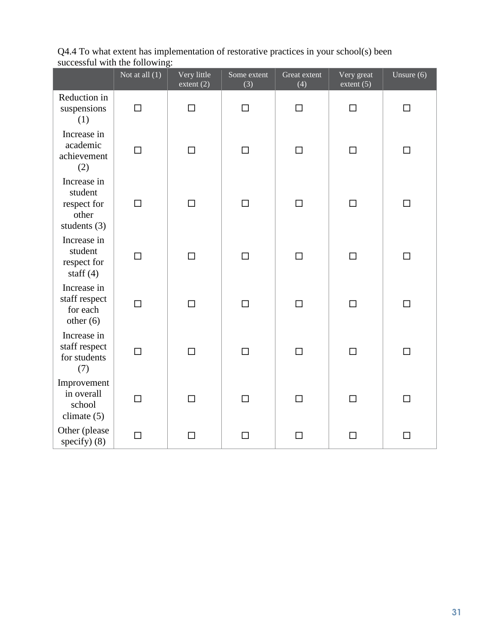|                                                                  | Not at all $(1)$ | Very little<br>extent $(2)$ | Some extent<br>(3) | Great extent<br>(4) | Very great<br>extent $(5)$ | Unsure $(6)$ |
|------------------------------------------------------------------|------------------|-----------------------------|--------------------|---------------------|----------------------------|--------------|
| Reduction in<br>suspensions<br>(1)                               | $\Box$           | $\Box$                      | $\Box$             | $\Box$              | $\Box$                     | П            |
| Increase in<br>academic<br>achievement<br>(2)                    | $\Box$           | $\Box$                      | $\Box$             | $\Box$              | $\Box$                     | $\Box$       |
| Increase in<br>student<br>respect for<br>other<br>students $(3)$ | $\Box$           | $\Box$                      | $\Box$             | $\Box$              | $\Box$                     | □            |
| Increase in<br>student<br>respect for<br>staff $(4)$             | $\Box$           | $\Box$                      | $\Box$             | $\Box$              | $\Box$                     | $\Box$       |
| Increase in<br>staff respect<br>for each<br>other $(6)$          | $\Box$           | $\Box$                      | $\Box$             | $\Box$              | □                          | □            |
| Increase in<br>staff respect<br>for students<br>(7)              | $\Box$           | $\Box$                      | $\Box$             | $\Box$              | $\Box$                     | $\Box$       |
| Improvement<br>in overall<br>school<br>climate $(5)$             | $\Box$           | $\Box$                      | $\Box$             | $\Box$              | $\Box$                     | $\Box$       |
| Other (please<br>specify $)$ (8)                                 | $\Box$           | $\Box$                      | $\Box$             | $\Box$              | $\Box$                     | $\Box$       |

Q4.4 To what extent has implementation of restorative practices in your school(s) been successful with the following: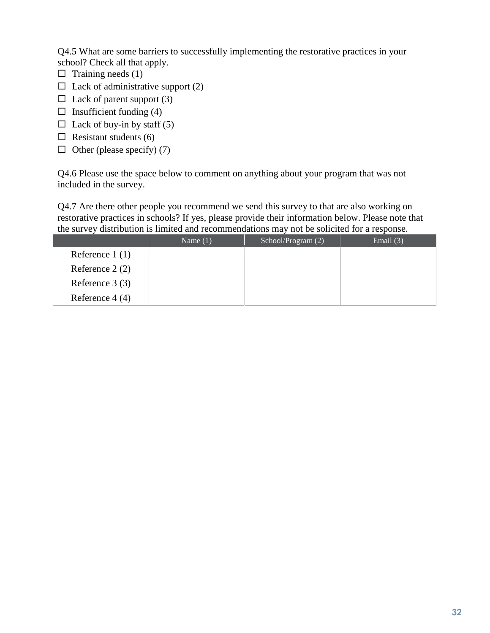Q4.5 What are some barriers to successfully implementing the restorative practices in your school? Check all that apply.

- $\Box$  Training needs (1)
- $\Box$  Lack of administrative support (2)
- $\Box$  Lack of parent support (3)
- $\Box$  Insufficient funding (4)
- $\Box$  Lack of buy-in by staff (5)
- $\Box$  Resistant students (6)
- $\Box$  Other (please specify) (7)

Q4.6 Please use the space below to comment on anything about your program that was not included in the survey.

Q4.7 Are there other people you recommend we send this survey to that are also working on restorative practices in schools? If yes, please provide their information below. Please note that the survey distribution is limited and recommendations may not be solicited for a response.

|                  | Name $(1)$ | School/Program (2) | Email $(3)$ |
|------------------|------------|--------------------|-------------|
| Reference $1(1)$ |            |                    |             |
| Reference $2(2)$ |            |                    |             |
| Reference $3(3)$ |            |                    |             |
| Reference $4(4)$ |            |                    |             |